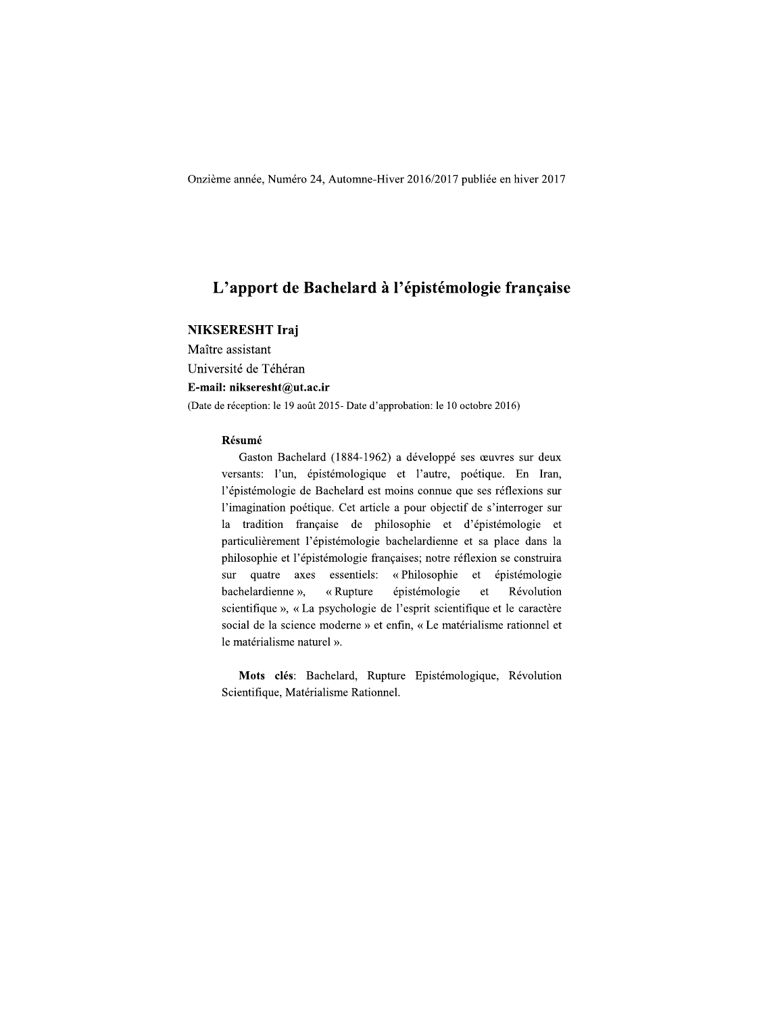Onzième année, Numéro 24, Automne-Hiver 2016/2017 publiée en hiver 2017

## L'apport de Bachelard à l'épistémologie française

## **NIKSERESHT Iraj**

Maître assistant Université de Téhéran E-mail: nikseresht@ut.ac.ir (Date de réception: le 19 août 2015- Date d'approbation: le 10 octobre 2016)

### Résumé

Gaston Bachelard (1884-1962) a développé ses œuvres sur deux versants: l'un, épistémologique et l'autre, poétique. En Iran, l'épistémologie de Bachelard est moins connue que ses réflexions sur l'imagination poétique. Cet article a pour objectif de s'interroger sur la tradition française de philosophie et d'épistémologie et particulièrement l'épistémologie bachelardienne et sa place dans la philosophie et l'épistémologie françaises; notre réflexion se construira sur quatre axes essentiels: «Philosophie et épistémologie bachelardienne », « Rupture épistémologie  $et$ Révolution scientifique », « La psychologie de l'esprit scientifique et le caractère social de la science moderne » et enfin, « Le matérialisme rationnel et le matérialisme naturel ».

Mots clés: Bachelard, Rupture Epistémologique, Révolution Scientifique, Matérialisme Rationnel.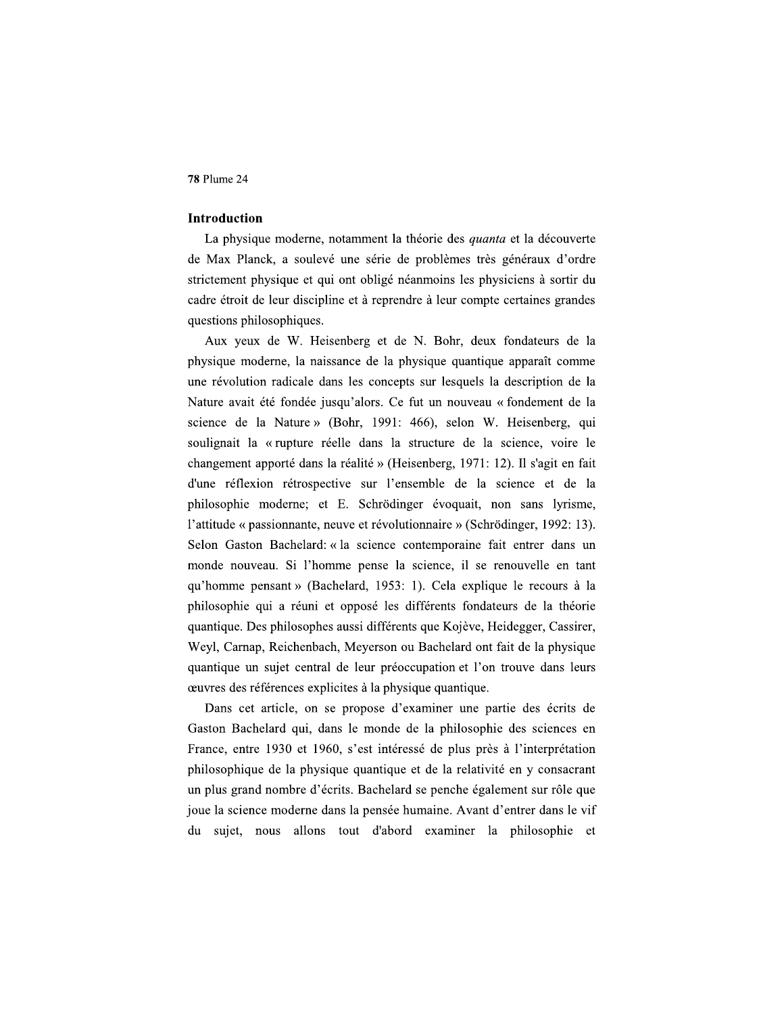## Introduction

La physique moderne, notamment la théorie des quanta et la découverte de Max Planck, a soulevé une série de problèmes très généraux d'ordre strictement physique et qui ont obligé néanmoins les physiciens à sortir du cadre étroit de leur discipline et à reprendre à leur compte certaines grandes questions philosophiques.

Aux yeux de W. Heisenberg et de N. Bohr, deux fondateurs de la physique moderne, la naissance de la physique quantique apparaît comme une révolution radicale dans les concepts sur lesquels la description de la Nature avait été fondée jusqu'alors. Ce fut un nouveau « fondement de la science de la Nature » (Bohr, 1991: 466), selon W. Heisenberg, qui soulignait la « rupture réelle dans la structure de la science, voire le changement apporté dans la réalité » (Heisenberg, 1971: 12). Il s'agit en fait d'une réflexion rétrospective sur l'ensemble de la science et de la philosophie moderne; et E. Schrödinger évoquait, non sans lyrisme, l'attitude « passionnante, neuve et révolutionnaire » (Schrödinger, 1992: 13). Selon Gaston Bachelard: « la science contemporaine fait entrer dans un monde nouveau. Si l'homme pense la science, il se renouvelle en tant qu'homme pensant » (Bachelard, 1953: 1). Cela explique le recours à la philosophie qui a réuni et opposé les différents fondateurs de la théorie quantique. Des philosophes aussi différents que Kojève, Heidegger, Cassirer, Weyl, Carnap, Reichenbach, Meyerson ou Bachelard ont fait de la physique quantique un sujet central de leur préoccupation et l'on trouve dans leurs œuvres des références explicites à la physique quantique.

Dans cet article, on se propose d'examiner une partie des écrits de Gaston Bachelard qui, dans le monde de la philosophie des sciences en France, entre 1930 et 1960, s'est intéressé de plus près à l'interprétation philosophique de la physique quantique et de la relativité en y consacrant un plus grand nombre d'écrits. Bachelard se penche également sur rôle que joue la science moderne dans la pensée humaine. Avant d'entrer dans le vif du sujet, nous allons tout d'abord examiner la philosophie et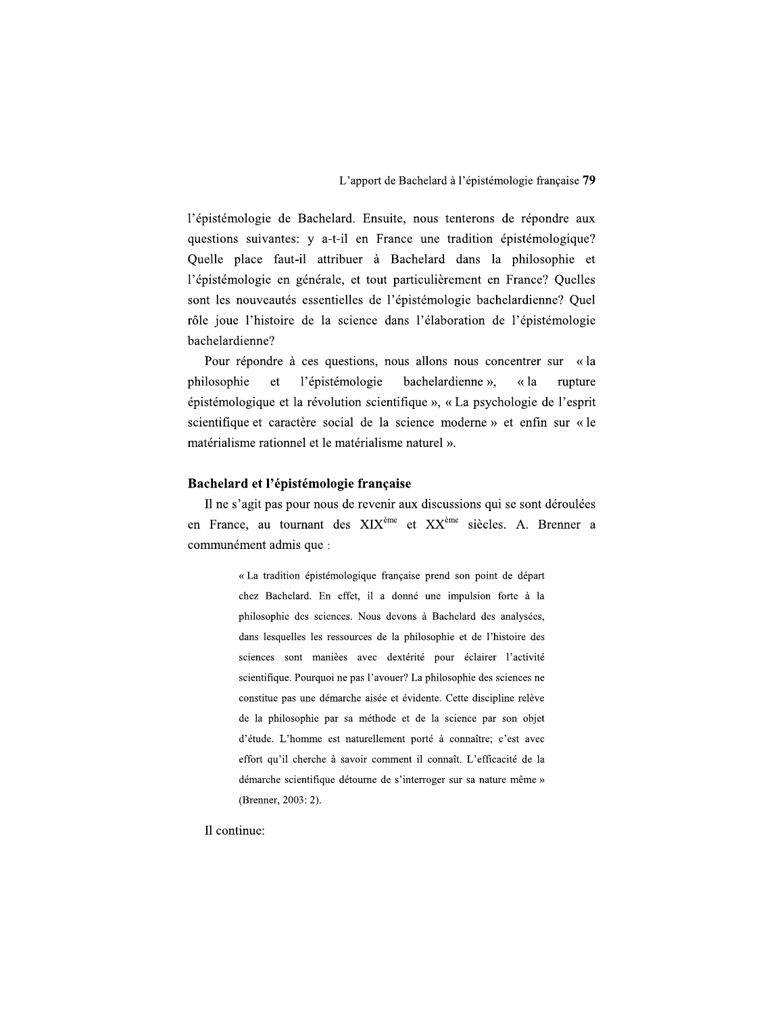l'épistémologie de Bachelard. Ensuite, nous tenterons de répondre aux questions suivantes: y a-t-il en France une tradition épistémologique? Quelle place faut-il attribuer à Bachelard dans la philosophie et l'épistémologie en générale, et tout particulièrement en France? Quelles sont les nouveautés essentielles de l'épistémologie bachelardienne? Quel rôle joue l'histoire de la science dans l'élaboration de l'épistémologie bachelardienne?

Pour répondre à ces questions, nous allons nous concentrer sur « la l'épistémologie philosophie  ${\it et}$ bachelardienne », « la rupture épistémologique et la révolution scientifique », « La psychologie de l'esprit scientifique et caractère social de la science moderne » et enfin sur « le matérialisme rationnel et le matérialisme naturel ».

### Bachelard et l'épistémologie française

Il ne s'agit pas pour nous de revenir aux discussions qui se sont déroulées en France, au tournant des  $XIX^{\text{ème}}$  et  $XX^{\text{ème}}$  siècles. A. Brenner a communément admis que :

> « La tradition épistémologique française prend son point de départ chez Bachelard. En effet, il a donné une impulsion forte à la philosophie des sciences. Nous devons à Bachelard des analysées, dans lesquelles les ressources de la philosophie et de l'histoire des sciences sont manièes avec dextérité pour éclairer l'activité scientifique. Pourquoi ne pas l'avouer? La philosophie des sciences ne constitue pas une démarche aisée et évidente. Cette discipline relève de la philosophie par sa méthode et de la science par son objet d'étude. L'homme est naturellement porté à connaître; c'est avec effort qu'il cherche à savoir comment il connaît. L'efficacité de la démarche scientifique détourne de s'interroger sur sa nature même » (Brenner, 2003: 2).

Il continue: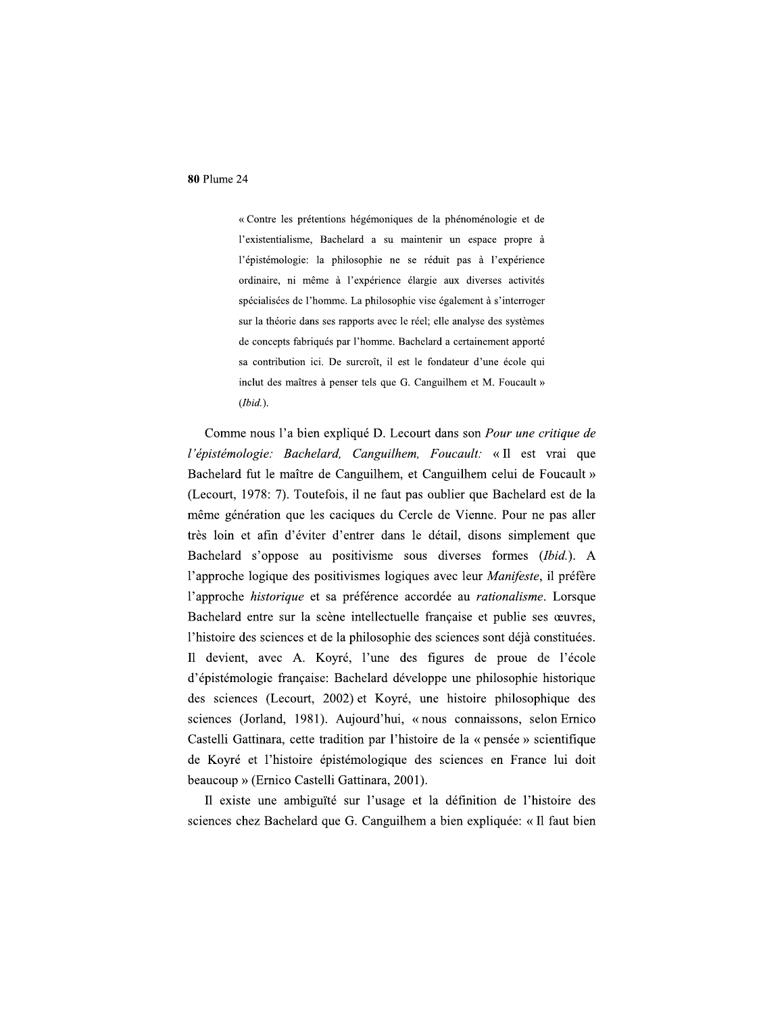« Contre les prétentions hégémoniques de la phénoménologie et de l'existentialisme, Bachelard a su maintenir un espace propre à l'épistémologie: la philosophie ne se réduit pas à l'expérience ordinaire, ni même à l'expérience élargie aux diverses activités spécialisées de l'homme. La philosophie vise également à s'interroger sur la théorie dans ses rapports avec le réel; elle analyse des systèmes de concepts fabriqués par l'homme. Bachelard a certainement apporté sa contribution ici. De surcroît, il est le fondateur d'une école qui inclut des maîtres à penser tels que G. Canguilhem et M. Foucault »  $(Ibid.).$ 

Comme nous l'a bien expliqué D. Lecourt dans son *Pour une critique de* l'épistémologie: Bachelard, Canguilhem, Foucault: « Il est vrai que Bachelard fut le maître de Canguilhem, et Canguilhem celui de Foucault » (Lecourt, 1978: 7). Toutefois, il ne faut pas oublier que Bachelard est de la même génération que les caciques du Cercle de Vienne. Pour ne pas aller très loin et afin d'éviter d'entrer dans le détail, disons simplement que Bachelard s'oppose au positivisme sous diverses formes (Ibid.). A l'approche logique des positivismes logiques avec leur Manifeste, il préfère l'approche historique et sa préférence accordée au rationalisme. Lorsque Bachelard entre sur la scène intellectuelle française et publie ses œuvres, l'histoire des sciences et de la philosophie des sciences sont déjà constituées. Il devient, avec A. Koyré, l'une des figures de proue de l'école d'épistémologie française: Bachelard développe une philosophie historique des sciences (Lecourt, 2002) et Koyré, une histoire philosophique des sciences (Jorland, 1981). Aujourd'hui, « nous connaissons, selon Ernico Castelli Gattinara, cette tradition par l'histoire de la « pensée » scientifique de Koyré et l'histoire épistémologique des sciences en France lui doit beaucoup » (Ernico Castelli Gattinara, 2001).

Il existe une ambiguïté sur l'usage et la définition de l'histoire des sciences chez Bachelard que G. Canguilhem a bien expliquée: « Il faut bien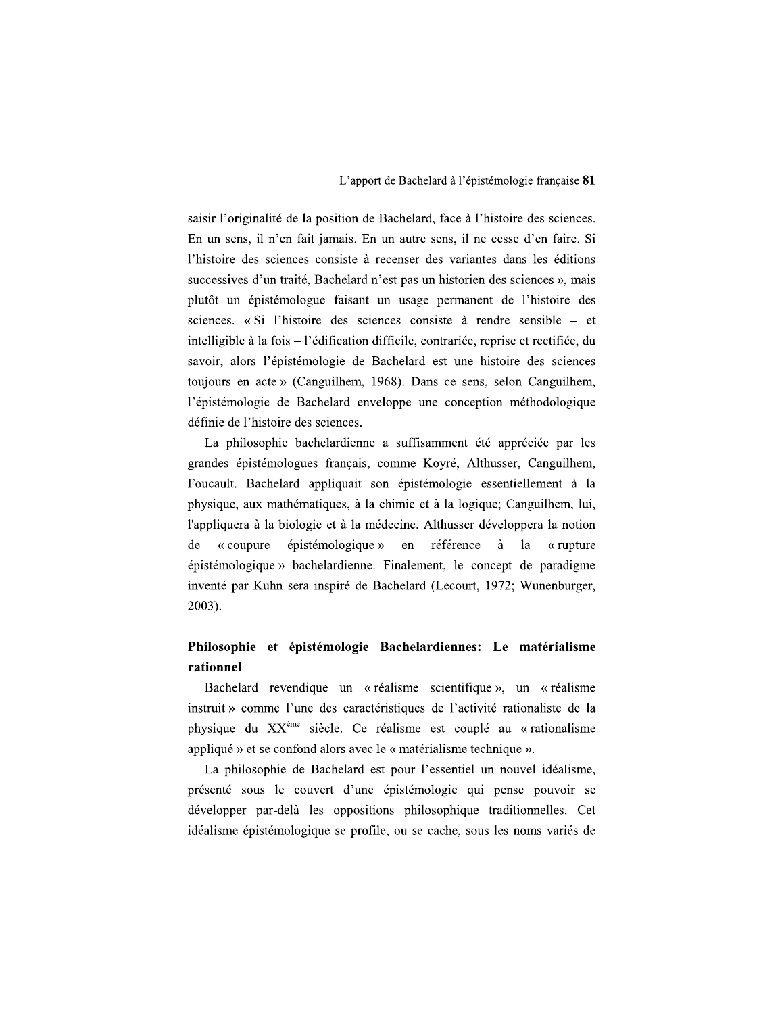saisir l'originalité de la position de Bachelard, face à l'histoire des sciences. En un sens, il n'en fait jamais. En un autre sens, il ne cesse d'en faire. Si l'histoire des sciences consiste à recenser des variantes dans les éditions successives d'un traité, Bachelard n'est pas un historien des sciences », mais plutôt un épistémologue faisant un usage permanent de l'histoire des sciences. «Si l'histoire des sciences consiste à rendre sensible – et intelligible à la fois – l'édification difficile, contrariée, reprise et rectifiée, du savoir, alors l'épistémologie de Bachelard est une histoire des sciences toujours en acte » (Canguilhem, 1968). Dans ce sens, selon Canguilhem, l'épistémologie de Bachelard enveloppe une conception méthodologique définie de l'histoire des sciences.

La philosophie bachelardienne a suffisamment été appréciée par les grandes épistémologues français, comme Koyré, Althusser, Canguilhem, Foucault. Bachelard appliquait son épistémologie essentiellement à la physique, aux mathématiques, à la chimie et à la logique; Canguilhem, lui, l'appliquera à la biologie et à la médecine. Althusser développera la notion épistémologique » en référence à de  $\alpha$  coupure la  $\alpha$  rupture épistémologique » bachelardienne. Finalement, le concept de paradigme inventé par Kuhn sera inspiré de Bachelard (Lecourt, 1972; Wunenburger,  $2003$ ).

# Philosophie et épistémologie Bachelardiennes: Le matérialisme rationnel

Bachelard revendique un « réalisme scientifique », un « réalisme instruit » comme l'une des caractéristiques de l'activité rationaliste de la physique du XX<sup>ème</sup> siècle. Ce réalisme est couplé au « rationalisme appliqué » et se confond alors avec le « matérialisme technique ».

La philosophie de Bachelard est pour l'essentiel un nouvel idéalisme, présenté sous le couvert d'une épistémologie qui pense pouvoir se développer par-delà les oppositions philosophique traditionnelles. Cet idéalisme épistémologique se profile, ou se cache, sous les noms variés de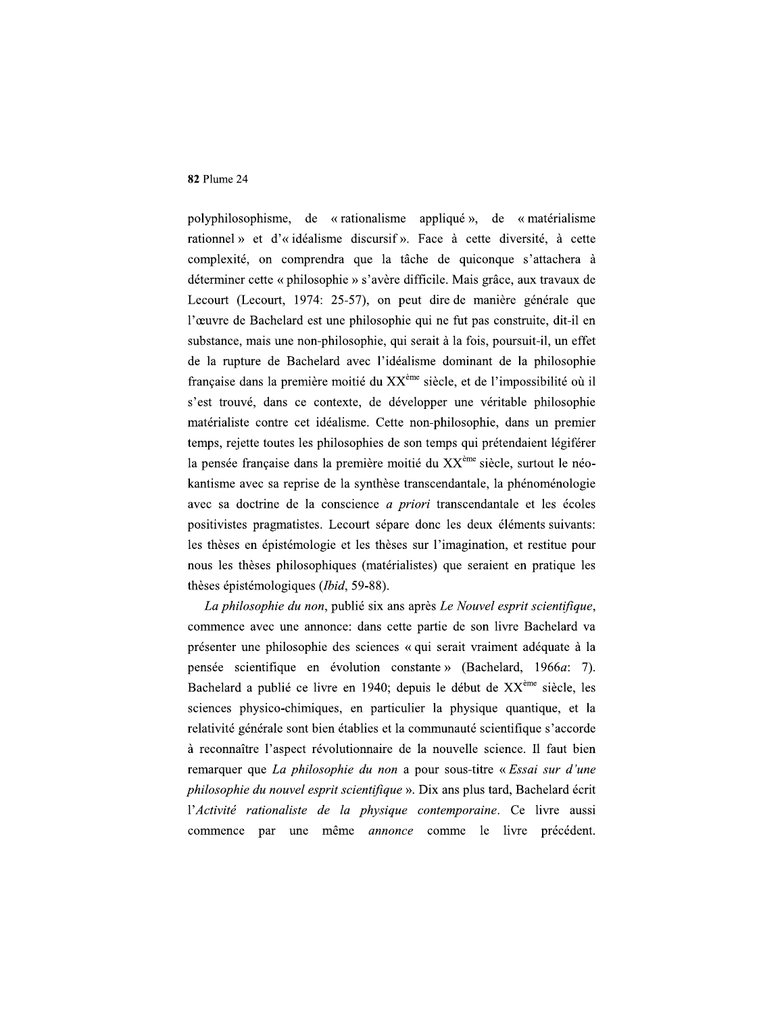polyphilosophisme, de « rationalisme appliqué », de « matérialisme rationnel » et d'« idéalisme discursif ». Face à cette diversité, à cette complexité, on comprendra que la tâche de quiconque s'attachera à déterminer cette « philosophie » s'avère difficile. Mais grâce, aux travaux de Lecourt (Lecourt, 1974: 25-57), on peut dire de manière générale que l'œuvre de Bachelard est une philosophie qui ne fut pas construite, dit-il en substance, mais une non-philosophie, qui serait à la fois, poursuit-il, un effet de la rupture de Bachelard avec l'idéalisme dominant de la philosophie française dans la première moitié du XX<sup>ème</sup> siècle, et de l'impossibilité où il s'est trouvé, dans ce contexte, de développer une véritable philosophie matérialiste contre cet idéalisme. Cette non-philosophie, dans un premier temps, rejette toutes les philosophies de son temps qui prétendaient légiférer la pensée française dans la première moitié du XX<sup>ème</sup> siècle, surtout le néokantisme avec sa reprise de la synthèse transcendantale, la phénoménologie avec sa doctrine de la conscience *a priori* transcendantale et les écoles positivistes pragmatistes. Lecourt sépare donc les deux éléments suivants: les thèses en épistémologie et les thèses sur l'imagination, et restitue pour nous les thèses philosophiques (matérialistes) que seraient en pratique les thèses épistémologiques (*Ibid*, 59-88).

La philosophie du non, publié six ans après Le Nouvel esprit scientifique, commence avec une annonce: dans cette partie de son livre Bachelard va présenter une philosophie des sciences « qui serait vraiment adéquate à la pensée scientifique en évolution constante » (Bachelard, 1966a: 7). Bachelard a publié ce livre en 1940; depuis le début de XX<sup>ème</sup> siècle, les sciences physico-chimiques, en particulier la physique quantique, et la relativité générale sont bien établies et la communauté scientifique s'accorde à reconnaître l'aspect révolutionnaire de la nouvelle science. Il faut bien remarquer que La philosophie du non a pour sous-titre « Essai sur d'une philosophie du nouvel esprit scientifique ». Dix ans plus tard, Bachelard écrit l'Activité rationaliste de la physique contemporaine. Ce livre aussi commence par une même annonce comme le livre précédent.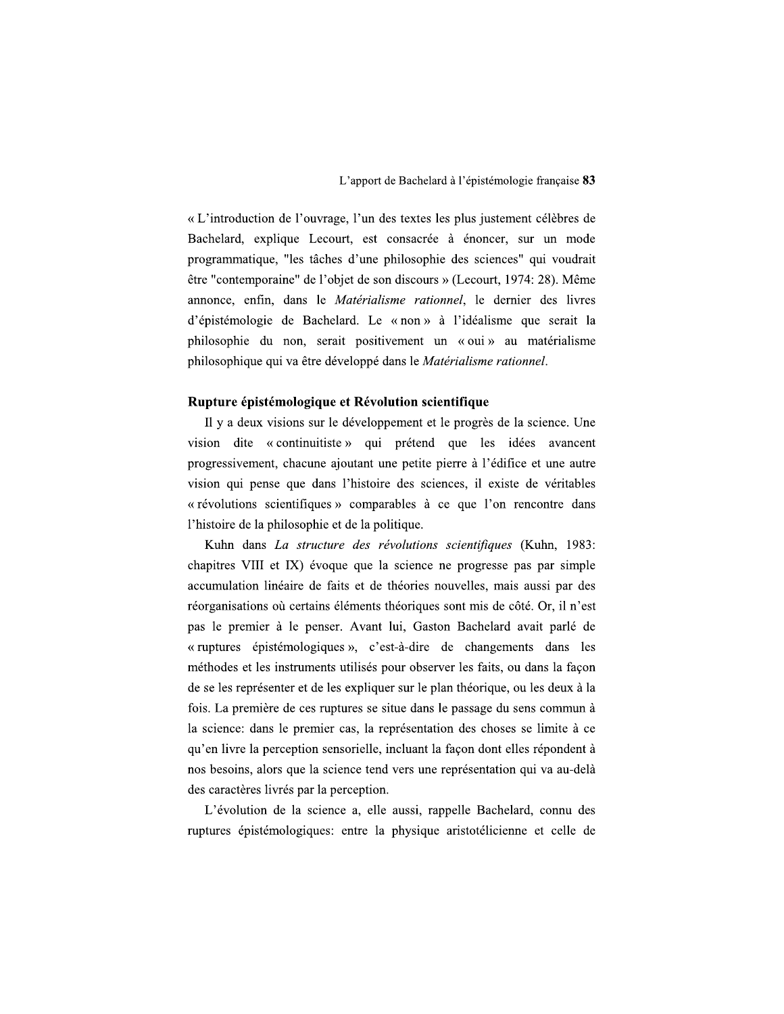« L'introduction de l'ouvrage, l'un des textes les plus justement célèbres de Bachelard, explique Lecourt, est consacrée à énoncer, sur un mode programmatique, "les tâches d'une philosophie des sciences" qui voudrait être "contemporaine" de l'objet de son discours » (Lecourt, 1974: 28). Même annonce, enfin, dans le *Matérialisme rationnel*, le dernier des livres d'épistémologie de Bachelard. Le « non » à l'idéalisme que serait la philosophie du non, serait positivement un « oui » au matérialisme philosophique qui va être développé dans le Matérialisme rationnel.

## Rupture épistémologique et Révolution scientifique

Il y a deux visions sur le développement et le progrès de la science. Une vision dite « continuitiste » qui prétend que les idées avancent progressivement, chacune ajoutant une petite pierre à l'édifice et une autre vision qui pense que dans l'histoire des sciences, il existe de véritables « révolutions scientifiques » comparables à ce que l'on rencontre dans l'histoire de la philosophie et de la politique.

Kuhn dans La structure des révolutions scientifiques (Kuhn, 1983: chapitres VIII et IX) évoque que la science ne progresse pas par simple accumulation linéaire de faits et de théories nouvelles, mais aussi par des réorganisations où certains éléments théoriques sont mis de côté. Or, il n'est pas le premier à le penser. Avant lui, Gaston Bachelard avait parlé de « ruptures épistémologiques », c'est-à-dire de changements dans les méthodes et les instruments utilisés pour observer les faits, ou dans la façon de se les représenter et de les expliquer sur le plan théorique, ou les deux à la fois. La première de ces ruptures se situe dans le passage du sens commun à la science: dans le premier cas, la représentation des choses se limite à ce qu'en livre la perception sensorielle, incluant la façon dont elles répondent à nos besoins, alors que la science tend vers une représentation qui va au-delà des caractères livrés par la perception.

L'évolution de la science a, elle aussi, rappelle Bachelard, connu des ruptures épistémologiques: entre la physique aristotélicienne et celle de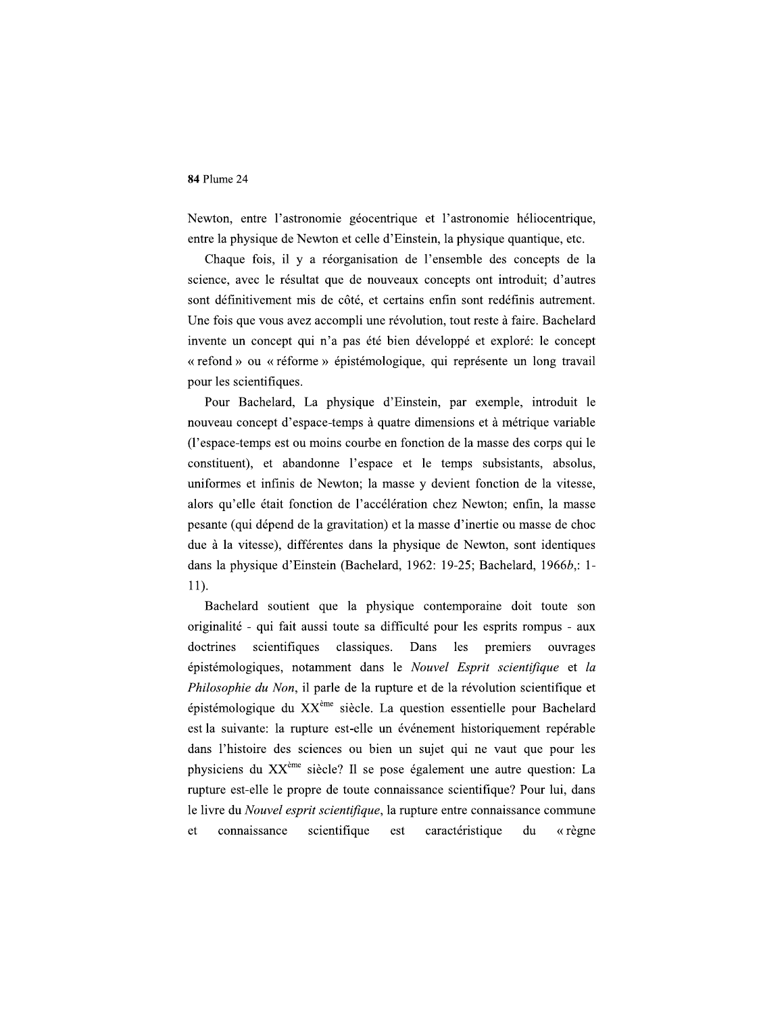Newton, entre l'astronomie géocentrique et l'astronomie héliocentrique, entre la physique de Newton et celle d'Einstein, la physique quantique, etc.

Chaque fois, il y a réorganisation de l'ensemble des concepts de la science, avec le résultat que de nouveaux concepts ont introduit; d'autres sont définitivement mis de côté, et certains enfin sont redéfinis autrement. Une fois que vous avez accompli une révolution, tout reste à faire. Bachelard invente un concept qui n'a pas été bien développé et exploré: le concept « refond » ou « réforme » épistémologique, qui représente un long travail pour les scientifiques.

Pour Bachelard, La physique d'Einstein, par exemple, introduit le nouveau concept d'espace-temps à quatre dimensions et à métrique variable (l'espace-temps est ou moins courbe en fonction de la masse des corps qui le constituent), et abandonne l'espace et le temps subsistants, absolus, uniformes et infinis de Newton; la masse y devient fonction de la vitesse, alors qu'elle était fonction de l'accélération chez Newton; enfin, la masse pesante (qui dépend de la gravitation) et la masse d'inertie ou masse de choc due à la vitesse), différentes dans la physique de Newton, sont identiques dans la physique d'Einstein (Bachelard, 1962: 19-25; Bachelard, 1966b,: 1-11).

Bachelard soutient que la physique contemporaine doit toute son originalité - qui fait aussi toute sa difficulté pour les esprits rompus - aux doctrines scientifiques classiques. Dans les premiers ouvrages épistémologiques, notamment dans le Nouvel Esprit scientifique et la Philosophie du Non, il parle de la rupture et de la révolution scientifique et épistémologique du XX<sup>ème</sup> siècle. La question essentielle pour Bachelard est la suivante: la rupture est-elle un événement historiquement repérable dans l'histoire des sciences ou bien un sujet qui ne vaut que pour les physiciens du XX<sup>ème</sup> siècle? Il se pose également une autre question: La rupture est-elle le propre de toute connaissance scientifique? Pour lui, dans le livre du *Nouvel esprit scientifique*, la rupture entre connaissance commune connaissance scientifique est caractéristique « règne et du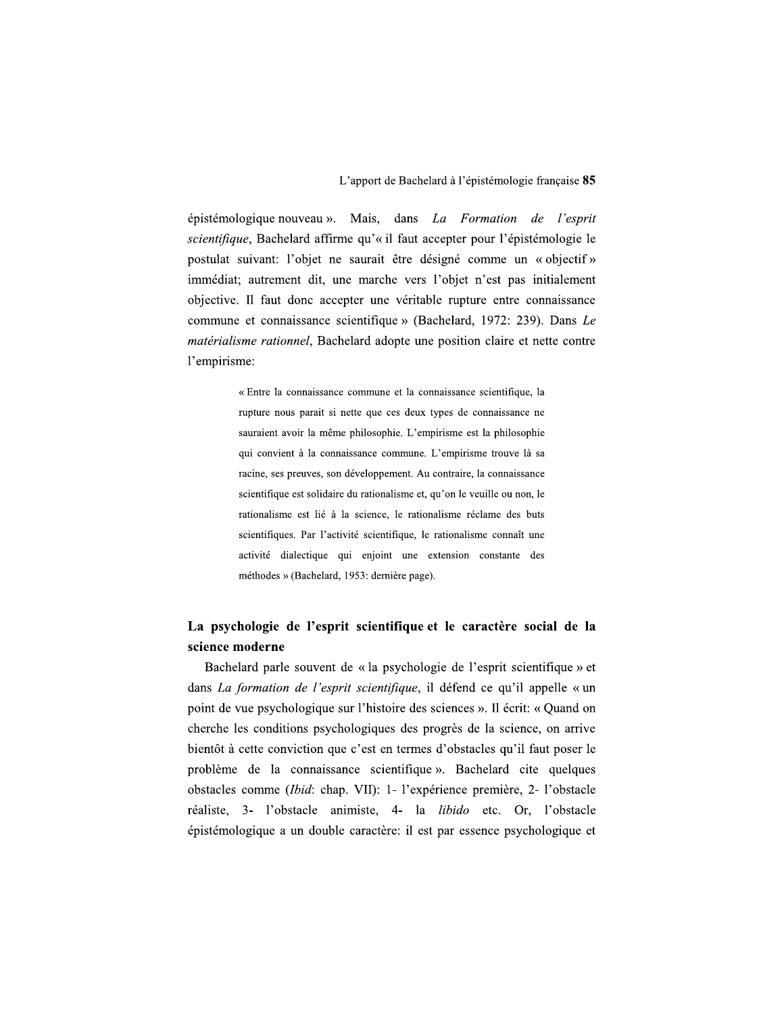épistémologique nouveau ». Mais, dans *La Formation de l'esprit* scientifique, Bachelard affirme qu'« il faut accepter pour l'épistémologie le postulat suivant: l'objet ne saurait être désigné comme un « objectif » immédiat; autrement dit, une marche vers l'objet n'est pas initialement objective. Il faut donc accepter une véritable rupture entre connaissance commune et connaissance scientifique » (Bachelard, 1972: 239). Dans Le *matérialisme rationnel*, Bachelard adopte une position claire et nette contre l'empirisme:

> « Entre la connaissance commune et la connaissance scientifique, la rupture nous parait si nette que ces deux types de connaissance ne sauraient avoir la même philosophie. L'empirisme est la philosophie qui convient à la connaissance commune. L'empirisme trouve là sa racine, ses preuves, son développement. Au contraire, la connaissance scientifique est solidaire du rationalisme et, qu'on le veuille ou non, le rationalisme est lié à la science, le rationalisme réclame des buts scientifiques. Par l'activité scientifique, le rationalisme connaît une activité dialectique qui enjoint une extension constante des méthodes » (Bachelard, 1953: dernière page).

# La psychologie de l'esprit scientifique et le caractère social de la science moderne

Bachelard parle souvent de « la psychologie de l'esprit scientifique » et dans La formation de l'esprit scientifique, il défend ce qu'il appelle « un point de vue psychologique sur l'histoire des sciences ». Il écrit: « Quand on cherche les conditions psychologiques des progrès de la science, on arrive bientôt à cette conviction que c'est en termes d'obstacles qu'il faut poser le problème de la connaissance scientifique». Bachelard cite quelques obstacles comme (*Ibid*: chap. VII): 1- l'expérience première, 2- l'obstacle réaliste, 3- l'obstacle animiste, 4- la libido etc. Or, l'obstacle épistémologique a un double caractère: il est par essence psychologique et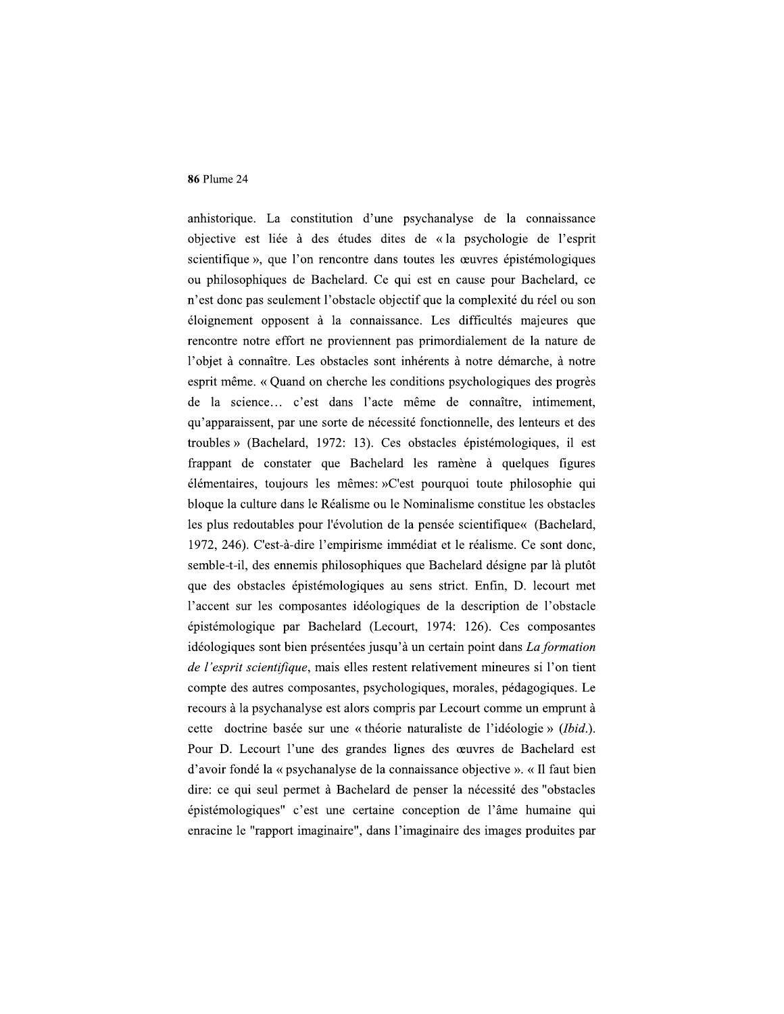anhistorique. La constitution d'une psychanalyse de la connaissance objective est liée à des études dites de « la psychologie de l'esprit scientifique », que l'on rencontre dans toutes les œuvres épistémologiques ou philosophiques de Bachelard. Ce qui est en cause pour Bachelard, ce n'est donc pas seulement l'obstacle objectif que la complexité du réel ou son éloignement opposent à la connaissance. Les difficultés majeures que rencontre notre effort ne proviennent pas primordialement de la nature de l'objet à connaître. Les obstacles sont inhérents à notre démarche, à notre esprit même. « Quand on cherche les conditions psychologiques des progrès de la science... c'est dans l'acte même de connaître, intimement, qu'apparaissent, par une sorte de nécessité fonctionnelle, des lenteurs et des troubles » (Bachelard, 1972: 13). Ces obstacles épistémologiques, il est frappant de constater que Bachelard les ramène à quelques figures élémentaires, toujours les mêmes: »C'est pourquoi toute philosophie qui bloque la culture dans le Réalisme ou le Nominalisme constitue les obstacles les plus redoutables pour l'évolution de la pensée scientifique« (Bachelard, 1972, 246). C'est-à-dire l'empirisme immédiat et le réalisme. Ce sont donc, semble-t-il, des ennemis philosophiques que Bachelard désigne par là plutôt que des obstacles épistémologiques au sens strict. Enfin, D. lecourt met l'accent sur les composantes idéologiques de la description de l'obstacle épistémologique par Bachelard (Lecourt, 1974: 126). Ces composantes idéologiques sont bien présentées jusqu'à un certain point dans La formation *de l'esprit scientifique*, mais elles restent relativement mineures si l'on tient compte des autres composantes, psychologiques, morales, pédagogiques. Le recours à la psychanalyse est alors compris par Lecourt comme un emprunt à cette doctrine basée sur une « théorie naturaliste de l'idéologie » (Ibid.). Pour D. Lecourt l'une des grandes lignes des œuvres de Bachelard est d'avoir fondé la « psychanalyse de la connaissance objective ». « Il faut bien dire: ce qui seul permet à Bachelard de penser la nécessité des "obstacles épistémologiques" c'est une certaine conception de l'âme humaine qui enracine le "rapport imaginaire", dans l'imaginaire des images produites par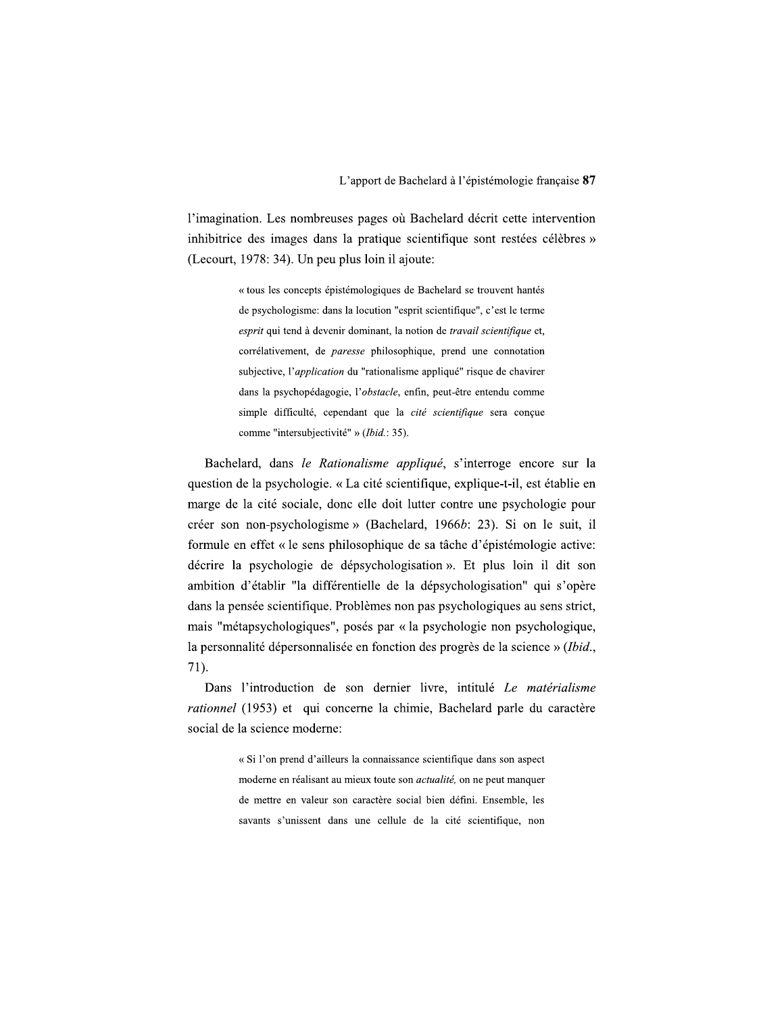l'imagination. Les nombreuses pages où Bachelard décrit cette intervention inhibitrice des images dans la pratique scientifique sont restées célèbres » (Lecourt, 1978: 34). Un peu plus loin il ajoute:

> « tous les concepts épistémologiques de Bachelard se trouvent hantés de psychologisme: dans la locution "esprit scientifique", c'est le terme esprit qui tend à devenir dominant, la notion de travail scientifique et, corrélativement, de paresse philosophique, prend une connotation subjective, l'application du "rationalisme appliqué" risque de chavirer dans la psychopédagogie, l'obstacle, enfin, peut-être entendu comme simple difficulté, cependant que la cité scientifique sera conçue comme "intersubjectivité" » (Ibid.: 35).

Bachelard, dans le Rationalisme appliqué, s'interroge encore sur la question de la psychologie. « La cité scientifique, explique-t-il, est établie en marge de la cité sociale, donc elle doit lutter contre une psychologie pour créer son non-psychologisme » (Bachelard, 1966b: 23). Si on le suit, il formule en effet « le sens philosophique de sa tâche d'épistémologie active: décrire la psychologie de dépsychologisation ». Et plus loin il dit son ambition d'établir "la différentielle de la dépsychologisation" qui s'opère dans la pensée scientifique. Problèmes non pas psychologiques au sens strict, mais "métapsychologiques", posés par « la psychologie non psychologique, la personnalité dépersonnalisée en fonction des progrès de la science » (Ibid., 71).

Dans l'introduction de son dernier livre, intitulé Le matérialisme rationnel (1953) et qui concerne la chimie, Bachelard parle du caractère social de la science moderne:

> « Si l'on prend d'ailleurs la connaissance scientifique dans son aspect moderne en réalisant au mieux toute son actualité, on ne peut manquer de mettre en valeur son caractère social bien défini. Ensemble, les savants s'unissent dans une cellule de la cité scientifique, non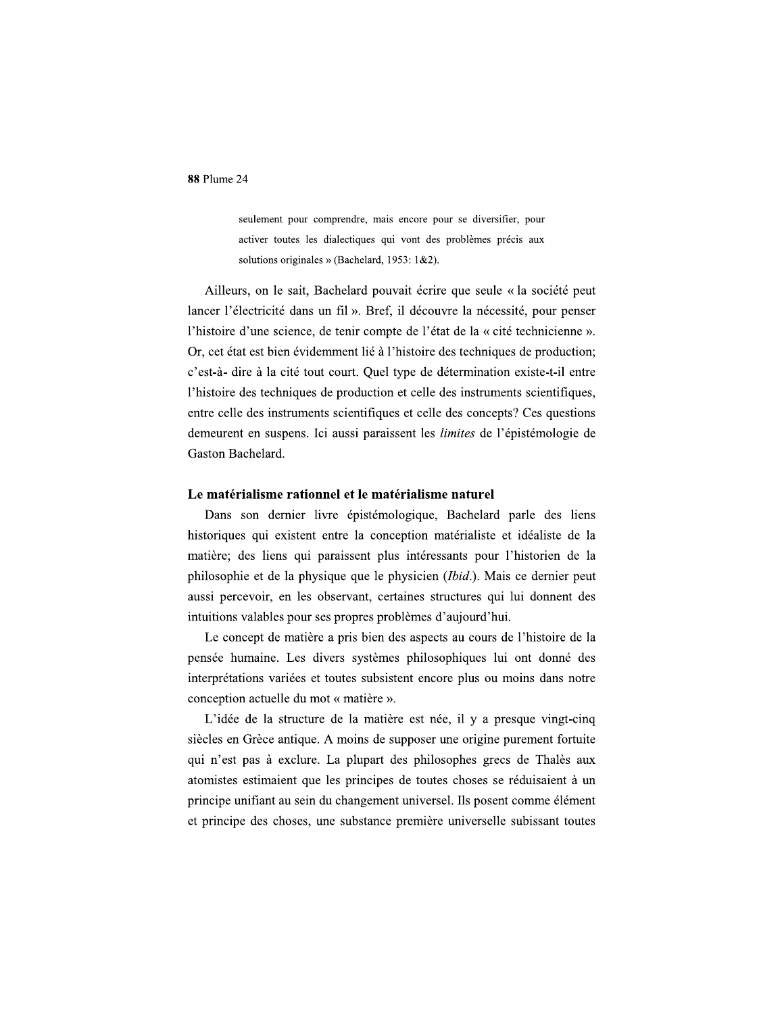seulement pour comprendre, mais encore pour se diversifier, pour activer toutes les dialectiques qui vont des problèmes précis aux solutions originales » (Bachelard, 1953: 1&2).

Ailleurs, on le sait, Bachelard pouvait écrire que seule « la société peut lancer l'électricité dans un fil ». Bref, il découvre la nécessité, pour penser l'histoire d'une science, de tenir compte de l'état de la « cité technicienne ». Or, cet état est bien évidemment lié à l'histoire des techniques de production; c'est-à- dire à la cité tout court. Quel type de détermination existe-t-il entre l'histoire des techniques de production et celle des instruments scientifiques, entre celle des instruments scientifiques et celle des concepts? Ces questions demeurent en suspens. Ici aussi paraissent les *limites* de l'épistémologie de Gaston Bachelard.

## Le matérialisme rationnel et le matérialisme naturel

Dans son dernier livre épistémologique, Bachelard parle des liens historiques qui existent entre la conception matérialiste et idéaliste de la matière; des liens qui paraissent plus intéressants pour l'historien de la philosophie et de la physique que le physicien (Ibid.). Mais ce dernier peut aussi percevoir, en les observant, certaines structures qui lui donnent des intuitions valables pour ses propres problèmes d'aujourd'hui.

Le concept de matière a pris bien des aspects au cours de l'histoire de la pensée humaine. Les divers systèmes philosophiques lui ont donné des interprétations variées et toutes subsistent encore plus ou moins dans notre conception actuelle du mot « matière ».

L'idée de la structure de la matière est née, il y a presque vingt-cinq siècles en Grèce antique. A moins de supposer une origine purement fortuite qui n'est pas à exclure. La plupart des philosophes grecs de Thalès aux atomistes estimaient que les principes de toutes choses se réduisaient à un principe unifiant au sein du changement universel. Ils posent comme élément et principe des choses, une substance première universelle subissant toutes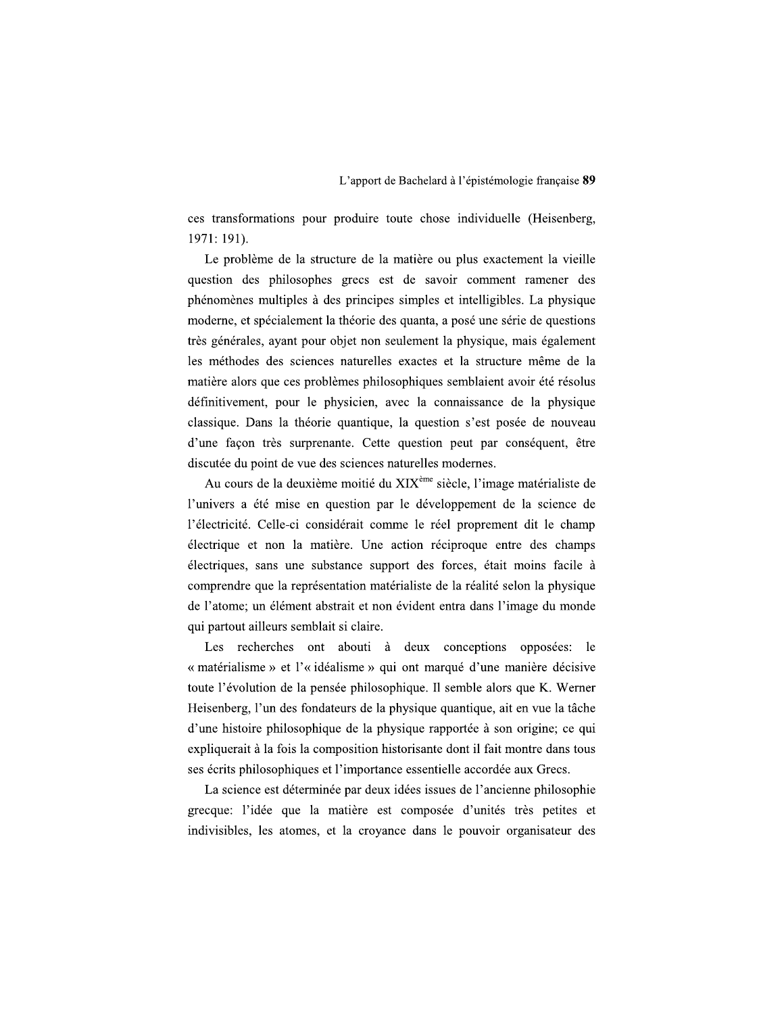ces transformations pour produire toute chose individuelle (Heisenberg, 1971: 191).

Le problème de la structure de la matière ou plus exactement la vieille question des philosophes grecs est de savoir comment ramener des phénomènes multiples à des principes simples et intelligibles. La physique moderne, et spécialement la théorie des quanta, a posé une série de questions très générales, ayant pour objet non seulement la physique, mais également les méthodes des sciences naturelles exactes et la structure même de la matière alors que ces problèmes philosophiques semblaient avoir été résolus définitivement, pour le physicien, avec la connaissance de la physique classique. Dans la théorie quantique, la question s'est posée de nouveau d'une façon très surprenante. Cette question peut par conséquent, être discutée du point de vue des sciences naturelles modernes.

Au cours de la deuxième moitié du XIX<sup>ème</sup> siècle, l'image matérialiste de l'univers a été mise en question par le développement de la science de l'électricité. Celle-ci considérait comme le réel proprement dit le champ électrique et non la matière. Une action réciproque entre des champs électriques, sans une substance support des forces, était moins facile à comprendre que la représentation matérialiste de la réalité selon la physique de l'atome; un élément abstrait et non évident entra dans l'image du monde qui partout ailleurs semblait si claire.

Les recherches ont abouti à deux conceptions opposées: le « matérialisme » et l'« idéalisme » qui ont marqué d'une manière décisive toute l'évolution de la pensée philosophique. Il semble alors que K. Werner Heisenberg, l'un des fondateurs de la physique quantique, ait en vue la tâche d'une histoire philosophique de la physique rapportée à son origine; ce qui expliquerait à la fois la composition historisante dont il fait montre dans tous ses écrits philosophiques et l'importance essentielle accordée aux Grecs.

La science est déterminée par deux idées issues de l'ancienne philosophie grecque: l'idée que la matière est composée d'unités très petites et indivisibles, les atomes, et la croyance dans le pouvoir organisateur des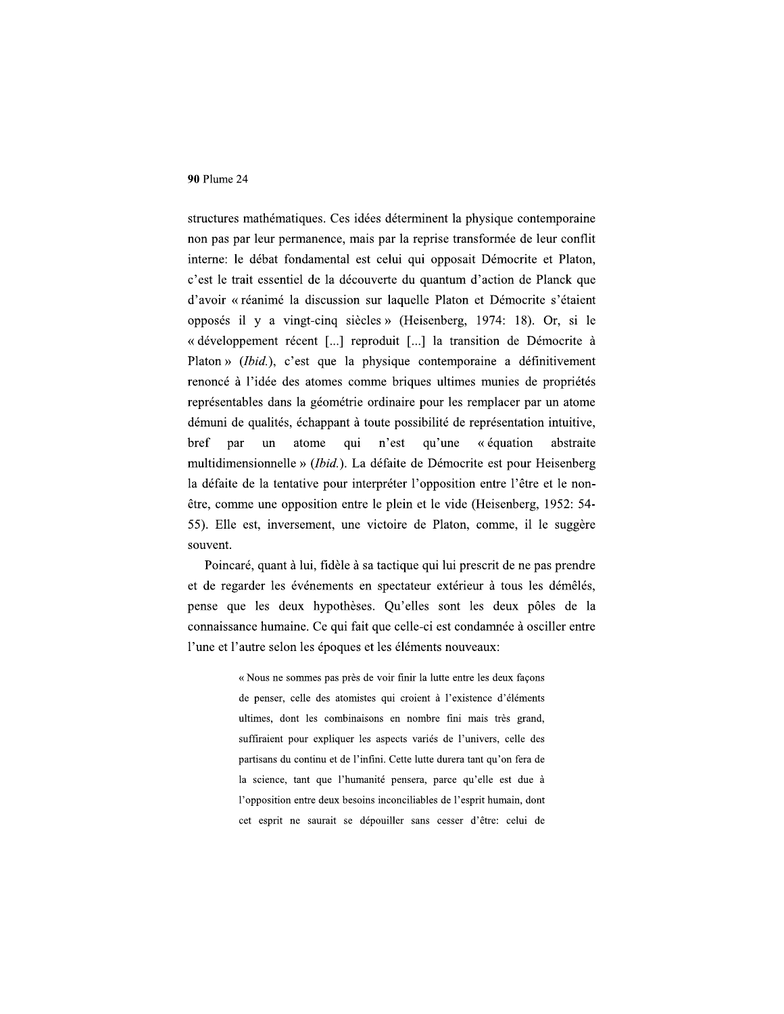structures mathématiques. Ces idées déterminent la physique contemporaine non pas par leur permanence, mais par la reprise transformée de leur conflit interne: le débat fondamental est celui qui opposait Démocrite et Platon, c'est le trait essentiel de la découverte du quantum d'action de Planck que d'avoir « réanimé la discussion sur laquelle Platon et Démocrite s'étaient opposés il y a vingt-cinq siècles » (Heisenberg, 1974: 18). Or, si le « développement récent [...] reproduit [...] la transition de Démocrite à Platon » (Ibid.), c'est que la physique contemporaine a définitivement renoncé à l'idée des atomes comme briques ultimes munies de propriétés représentables dans la géométrie ordinaire pour les remplacer par un atome démuni de qualités, échappant à toute possibilité de représentation intuitive, bref par  $un$ atome qui n'est qu'une « équation abstraite multidimensionnelle » (Ibid.). La défaite de Démocrite est pour Heisenberg la défaite de la tentative pour interpréter l'opposition entre l'être et le nonêtre, comme une opposition entre le plein et le vide (Heisenberg, 1952: 54-55). Elle est, inversement, une victoire de Platon, comme, il le suggère souvent.

Poincaré, quant à lui, fidèle à sa tactique qui lui prescrit de ne pas prendre et de regarder les événements en spectateur extérieur à tous les démêlés, pense que les deux hypothèses. Qu'elles sont les deux pôles de la connaissance humaine. Ce qui fait que celle-ci est condamnée à osciller entre l'une et l'autre selon les époques et les éléments nouveaux:

> « Nous ne sommes pas près de voir finir la lutte entre les deux façons de penser, celle des atomistes qui croient à l'existence d'éléments ultimes, dont les combinaisons en nombre fini mais très grand, suffiraient pour expliquer les aspects variés de l'univers, celle des partisans du continu et de l'infini. Cette lutte durera tant qu'on fera de la science, tant que l'humanité pensera, parce qu'elle est due à l'opposition entre deux besoins inconciliables de l'esprit humain, dont cet esprit ne saurait se dépouiller sans cesser d'être: celui de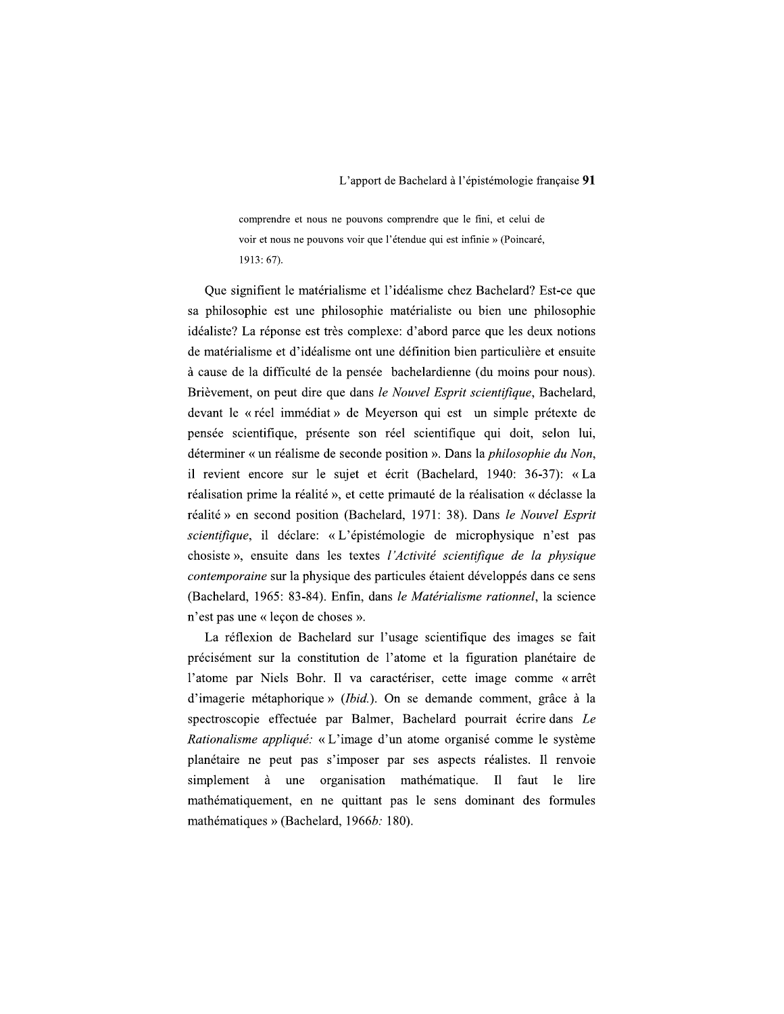comprendre et nous ne pouvons comprendre que le fini, et celui de voir et nous ne pouvons voir que l'étendue qui est infinie » (Poincaré, 1913: 67).

Oue signifient le matérialisme et l'idéalisme chez Bachelard? Est-ce que sa philosophie est une philosophie matérialiste ou bien une philosophie idéaliste? La réponse est très complexe: d'abord parce que les deux notions de matérialisme et d'idéalisme ont une définition bien particulière et ensuite à cause de la difficulté de la pensée bachelardienne (du moins pour nous). Brièvement, on peut dire que dans le Nouvel Esprit scientifique, Bachelard, devant le « réel immédiat » de Meyerson qui est un simple prétexte de pensée scientifique, présente son réel scientifique qui doit, selon lui, déterminer « un réalisme de seconde position ». Dans la *philosophie du Non*, il revient encore sur le sujet et écrit (Bachelard, 1940: 36-37): «La réalisation prime la réalité », et cette primauté de la réalisation « déclasse la réalité » en second position (Bachelard, 1971: 38). Dans le Nouvel Esprit scientifique, il déclare: « L'épistémologie de microphysique n'est pas chosiste», ensuite dans les textes l'Activité scientifique de la physique contemporaine sur la physique des particules étaient développés dans ce sens (Bachelard, 1965: 83-84). Enfin, dans le Matérialisme rationnel, la science n'est pas une « leçon de choses ».

La réflexion de Bachelard sur l'usage scientifique des images se fait précisément sur la constitution de l'atome et la figuration planétaire de l'atome par Niels Bohr. Il va caractériser, cette image comme « arrêt d'imagerie métaphorique » (Ibid.). On se demande comment, grâce à la spectroscopie effectuée par Balmer, Bachelard pourrait écrire dans Le Rationalisme appliqué: « L'image d'un atome organisé comme le système planétaire ne peut pas s'imposer par ses aspects réalistes. Il renvoie simplement à une organisation mathématique. Il faut le lire mathématiquement, en ne quittant pas le sens dominant des formules mathématiques » (Bachelard, 1966*b*: 180).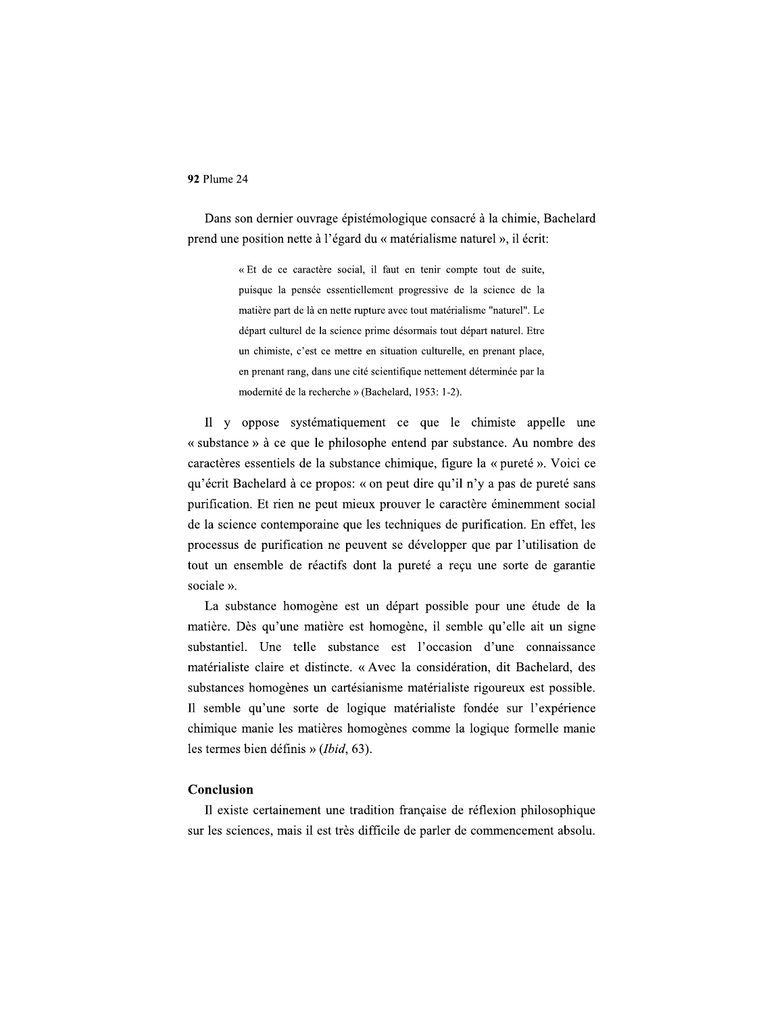Dans son dernier ouvrage épistémologique consacré à la chimie, Bachelard prend une position nette à l'égard du « matérialisme naturel », il écrit:

> « Et de ce caractère social, il faut en tenir compte tout de suite, puisque la pensée essentiellement progressive de la science de la matière part de là en nette rupture avec tout matérialisme "naturel". Le départ culturel de la science prime désormais tout départ naturel. Etre un chimiste, c'est ce mettre en situation culturelle, en prenant place, en prenant rang, dans une cité scientifique nettement déterminée par la modernité de la recherche » (Bachelard, 1953: 1-2).

Il y oppose systématiquement ce que le chimiste appelle une « substance » à ce que le philosophe entend par substance. Au nombre des caractères essentiels de la substance chimique, figure la « pureté ». Voici ce qu'écrit Bachelard à ce propos: « on peut dire qu'il n'y a pas de pureté sans purification. Et rien ne peut mieux prouver le caractère éminemment social de la science contemporaine que les techniques de purification. En effet, les processus de purification ne peuvent se développer que par l'utilisation de tout un ensemble de réactifs dont la pureté a reçu une sorte de garantie sociale ».

La substance homogène est un départ possible pour une étude de la matière. Dès qu'une matière est homogène, il semble qu'elle ait un signe substantiel. Une telle substance est l'occasion d'une connaissance matérialiste claire et distincte. « Avec la considération, dit Bachelard, des substances homogènes un cartésianisme matérialiste rigoureux est possible. Il semble qu'une sorte de logique matérialiste fondée sur l'expérience chimique manie les matières homogènes comme la logique formelle manie les termes bien définis » (Ibid, 63).

## Conclusion

Il existe certainement une tradition française de réflexion philosophique sur les sciences, mais il est très difficile de parler de commencement absolu.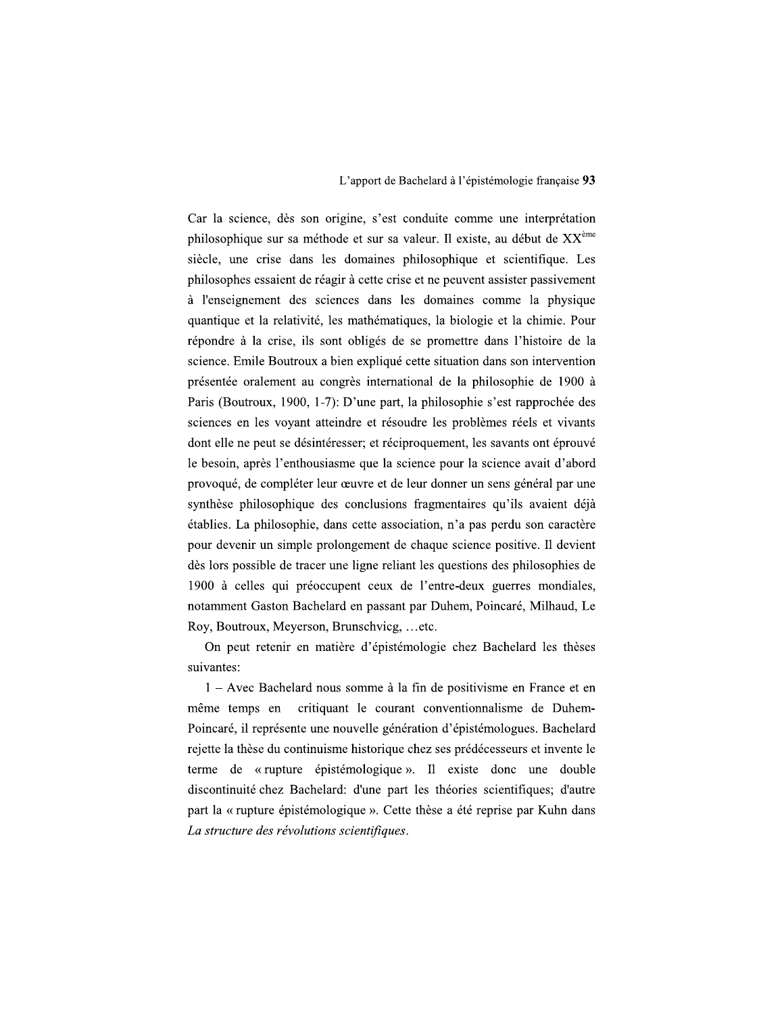Car la science, dès son origine, s'est conduite comme une interprétation philosophique sur sa méthode et sur sa valeur. Il existe, au début de  $XX<sup>eme</sup>$ siècle, une crise dans les domaines philosophique et scientifique. Les philosophes essaient de réagir à cette crise et ne peuvent assister passivement à l'enseignement des sciences dans les domaines comme la physique quantique et la relativité, les mathématiques, la biologie et la chimie. Pour répondre à la crise, ils sont obligés de se promettre dans l'histoire de la science. Emile Boutroux a bien expliqué cette situation dans son intervention présentée oralement au congrès international de la philosophie de 1900 à Paris (Boutroux, 1900, 1-7): D'une part, la philosophie s'est rapprochée des sciences en les voyant atteindre et résoudre les problèmes réels et vivants dont elle ne peut se désintéresser; et réciproquement, les savants ont éprouvé le besoin, après l'enthousiasme que la science pour la science avait d'abord provoqué, de compléter leur œuvre et de leur donner un sens général par une synthèse philosophique des conclusions fragmentaires qu'ils avaient déjà établies. La philosophie, dans cette association, n'a pas perdu son caractère pour devenir un simple prolongement de chaque science positive. Il devient dès lors possible de tracer une ligne reliant les questions des philosophies de 1900 à celles qui préoccupent ceux de l'entre-deux guerres mondiales, notamment Gaston Bachelard en passant par Duhem, Poincaré, Milhaud, Le Roy, Boutroux, Meyerson, Brunschvicg, ...etc.

On peut retenir en matière d'épistémologie chez Bachelard les thèses suivantes:

1 – Avec Bachelard nous somme à la fin de positivisme en France et en critiquant le courant conventionnalisme de Duhemmême temps en Poincaré, il représente une nouvelle génération d'épistémologues. Bachelard rejette la thèse du continuisme historique chez ses prédécesseurs et invente le terme de « rupture épistémologique ». Il existe donc une double discontinuité chez Bachelard: d'une part les théories scientifiques; d'autre part la « rupture épistémologique ». Cette thèse a été reprise par Kuhn dans La structure des révolutions scientifiques.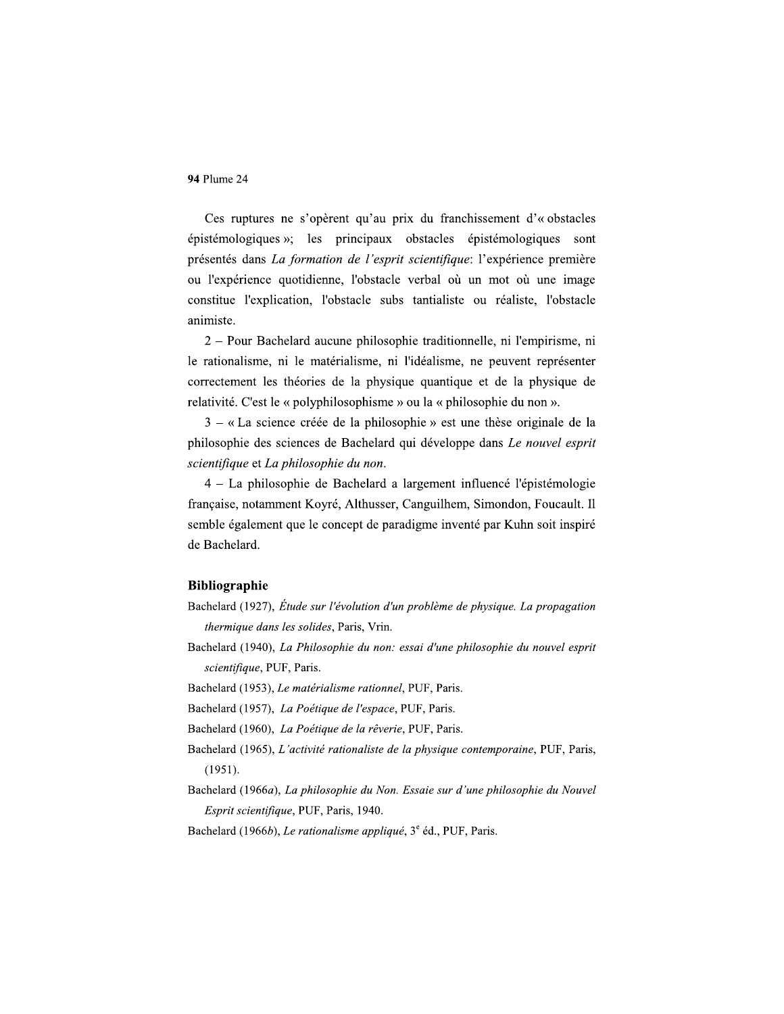Ces ruptures ne s'opèrent qu'au prix du franchissement d'« obstacles épistémologiques »; les principaux obstacles épistémologiques sont présentés dans La formation de l'esprit scientifique: l'expérience première ou l'expérience quotidienne, l'obstacle verbal où un mot où une image constitue l'explication, l'obstacle subs tantialiste ou réaliste, l'obstacle animiste.

2 – Pour Bachelard aucune philosophie traditionnelle, ni l'empirisme, ni le rationalisme, ni le matérialisme, ni l'idéalisme, ne peuvent représenter correctement les théories de la physique quantique et de la physique de relativité. C'est le « polyphilosophisme » ou la « philosophie du non ».

 $3 - \alpha$  La science créée de la philosophie » est une thèse originale de la philosophie des sciences de Bachelard qui développe dans Le nouvel esprit scientifique et La philosophie du non.

4 – La philosophie de Bachelard a largement influencé l'épistémologie française, notamment Koyré, Althusser, Canguilhem, Simondon, Foucault. Il semble également que le concept de paradigme inventé par Kuhn soit inspiré de Bachelard.

## **Bibliographie**

- Bachelard (1927), Étude sur l'évolution d'un problème de physique. La propagation thermique dans les solides, Paris, Vrin.
- Bachelard (1940), La Philosophie du non: essai d'une philosophie du nouvel esprit scientifique, PUF, Paris.
- Bachelard (1953), Le matérialisme rationnel, PUF, Paris.
- Bachelard (1957), La Poétique de l'espace, PUF, Paris.
- Bachelard (1960), La Poétique de la rêverie, PUF, Paris.
- Bachelard (1965), L'activité rationaliste de la physique contemporaine, PUF, Paris,  $(1951).$
- Bachelard (1966a), La philosophie du Non. Essaie sur d'une philosophie du Nouvel Esprit scientifique, PUF, Paris, 1940.
- Bachelard (1966b), Le rationalisme appliqué, 3<sup>e</sup> éd., PUF, Paris.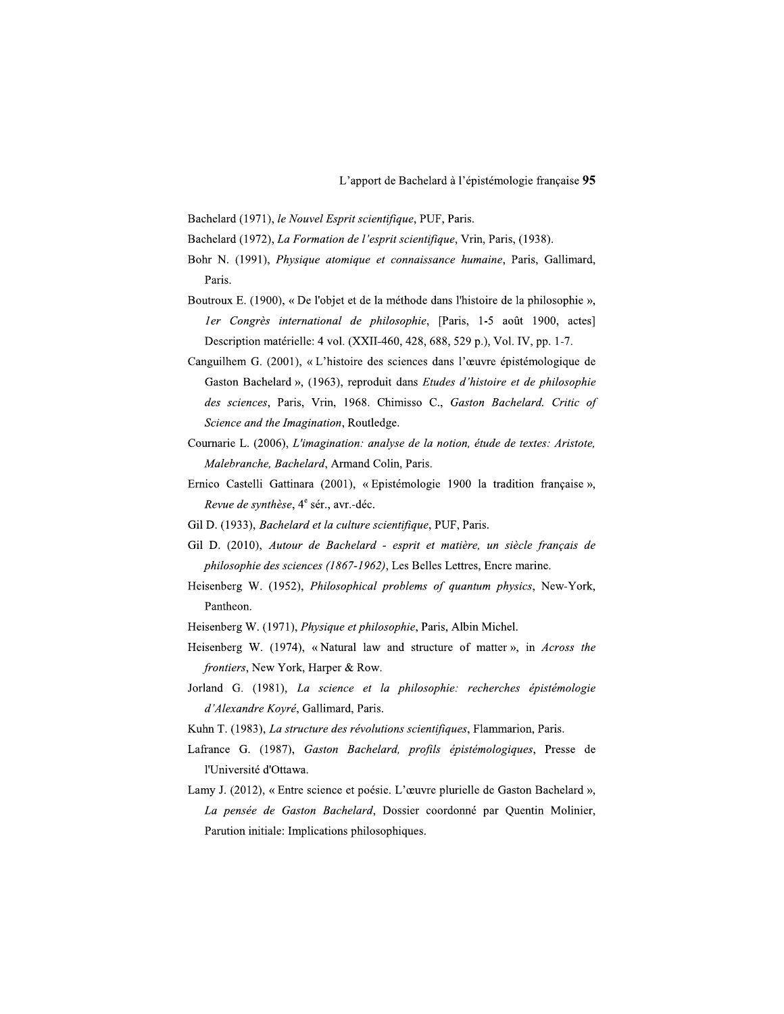Bachelard (1971), le Nouvel Esprit scientifique, PUF, Paris.

- Bachelard (1972), La Formation de l'esprit scientifique, Vrin, Paris, (1938).
- Bohr N. (1991), Physique atomique et connaissance humaine, Paris, Gallimard, Paris.
- Boutroux E. (1900), « De l'objet et de la méthode dans l'histoire de la philosophie », ler Congrès international de philosophie, [Paris, 1-5 août 1900, actes] Description matérielle: 4 vol. (XXII-460, 428, 688, 529 p.), Vol. IV, pp. 1-7.
- Canguilhem G. (2001), « L'histoire des sciences dans l'œuvre épistémologique de Gaston Bachelard », (1963), reproduit dans Etudes d'histoire et de philosophie des sciences, Paris, Vrin, 1968. Chimisso C., Gaston Bachelard. Critic of Science and the Imagination, Routledge.
- Cournarie L. (2006), L'imagination: analyse de la notion, étude de textes: Aristote, Malebranche, Bachelard, Armand Colin, Paris.
- Ernico Castelli Gattinara (2001), « Epistémologie 1900 la tradition française », Revue de synthèse, 4<sup>e</sup> sér., avr.-déc.
- Gil D. (1933), Bachelard et la culture scientifique, PUF, Paris.
- Gil D. (2010), Autour de Bachelard esprit et matière, un siècle français de philosophie des sciences (1867-1962), Les Belles Lettres, Encre marine.
- Heisenberg W. (1952), Philosophical problems of quantum physics, New-York, Pantheon.
- Heisenberg W. (1971), Physique et philosophie, Paris, Albin Michel.
- Heisenberg W. (1974), «Natural law and structure of matter», in Across the frontiers, New York, Harper & Row.
- Jorland G. (1981), La science et la philosophie: recherches épistémologie d'Alexandre Koyré, Gallimard, Paris.
- Kuhn T. (1983), La structure des révolutions scientifiques, Flammarion, Paris.
- Lafrance G. (1987), Gaston Bachelard, profils épistémologiques, Presse de l'Université d'Ottawa.
- Lamy J. (2012), « Entre science et poésie. L'œuvre plurielle de Gaston Bachelard », La pensée de Gaston Bachelard, Dossier coordonné par Quentin Molinier, Parution initiale: Implications philosophiques.